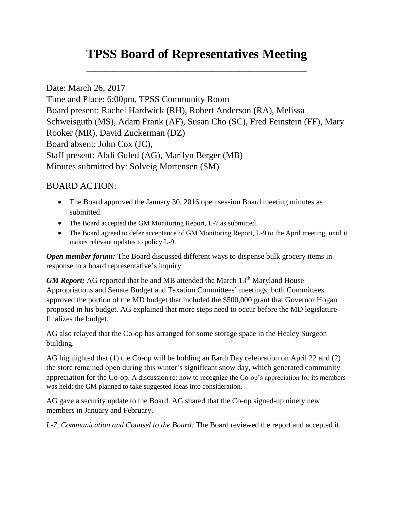## **TPSS Board of Representatives Meeting**

\_\_\_\_\_\_\_\_\_\_\_\_\_\_\_\_\_\_\_\_\_\_\_\_\_\_\_\_\_\_\_\_\_\_\_\_\_\_\_\_\_\_\_\_\_\_\_\_\_

Date: March 26, 2017 Time and Place: 6:00pm, TPSS Community Room Board present: Rachel Hardwick (RH), Robert Anderson (RA), Melissa Schweisguth (MS), Adam Frank (AF), Susan Cho (SC), Fred Feinstein (FF), Mary Rooker (MR), David Zuckerman (DZ) Board absent: John Cox (JC), Staff present: Abdi Guled (AG), Marilyn Berger (MB) Minutes submitted by: Solveig Mortensen (SM)

## BOARD ACTION:

- The Board approved the January 30, 2016 open session Board meeting minutes as submitted.
- The Board accepted the GM Monitoring Report, L-7 as submitted.
- The Board agreed to defer acceptance of GM Monitoring Report, L-9 to the April meeting, until it makes relevant updates to policy L-9.

*Open member forum:* The Board discussed different ways to dispense bulk grocery items in response to a board representative's inquiry.

*GM Report:* AG reported that he and MB attended the March 13<sup>th</sup> Maryland House Appropriations and Senate Budget and Taxation Committees' meetings; both Committees approved the portion of the MD budget that included the \$500,000 grant that Governor Hogan proposed in his budget. AG explained that more steps need to occur before the MD legislature finalizes the budget.

AG also relayed that the Co-op has arranged for some storage space in the Healey Surgeon building.

AG highlighted that (1) the Co-op will be holding an Earth Day celebration on April 22 and (2) the store remained open during this winter's significant snow day, which generated community appreciation for the Co-op. A discussion re: how to recognize the Co-op's appreciation for its members was held; the GM planned to take suggested ideas into consideration.

AG gave a security update to the Board. AG shared that the Co-op signed-up ninety new members in January and February.

*L-7, Communication and Counsel to the Board:* The Board reviewed the report and accepted it.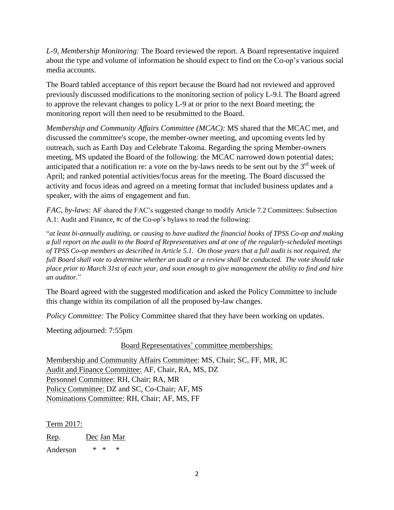*L-9, Membership Monitoring:* The Board reviewed the report. A Board representative inquired about the type and volume of information he should expect to find on the Co-op's various social media accounts.

The Board tabled acceptance of this report because the Board had not reviewed and approved previously discussed modifications to the monitoring section of policy L-9.l. The Board agreed to approve the relevant changes to policy L-9 at or prior to the next Board meeting; the monitoring report will then need to be resubmitted to the Board.

*Membership and Community Affairs Committee (MCAC):* MS shared that the MCAC met, and discussed the committee's scope, the member-owner meeting, and upcoming events led by outreach, such as Earth Day and Celebrate Takoma. Regarding the spring Member-owners meeting, MS updated the Board of the following: the MCAC narrowed down potential dates; anticipated that a notification re: a vote on the by-laws needs to be sent out by the  $3<sup>rd</sup>$  week of April; and ranked potential activities/focus areas for the meeting. The Board discussed the activity and focus ideas and agreed on a meeting format that included business updates and a speaker, with the aims of engagement and fun.

*FAC*, *by-laws*: AF shared the FAC's suggested change to modify Article 7.2 Committees: Subsection A.1: Audit and Finance, #c of the Co-op's bylaws to read the following:

"*at least bi-annually auditing, or causing to have audited the financial books of TPSS Co-op and making a full report on the audit to the Board of Representatives and at one of the regularly-scheduled meetings of TPSS Co-op members as described in Article 5.1. On those years that a full audit is not required, the full Board shall vote to determine whether an audit or a review shall be conducted. The vote should take place prior to March 31st of each year, and soon enough to give management the ability to find and hire an auditor.*"

The Board agreed with the suggested modification and asked the Policy Committee to include this change within its compilation of all the proposed by-law changes.

*Policy Committee:* The Policy Committee shared that they have been working on updates.

Meeting adjourned: 7:55pm

Board Representatives' committee memberships:

Membership and Community Affairs Committee: MS, Chair; SC, FF, MR, JC Audit and Finance Committee: AF, Chair, RA, MS, DZ Personnel Committee: RH, Chair; RA, MR Policy Committee: DZ and SC, Co-Chair; AF, MS Nominations Committee: RH, Chair; AF, MS, FF

Term 2017:

Rep. Dec Jan Mar

Anderson